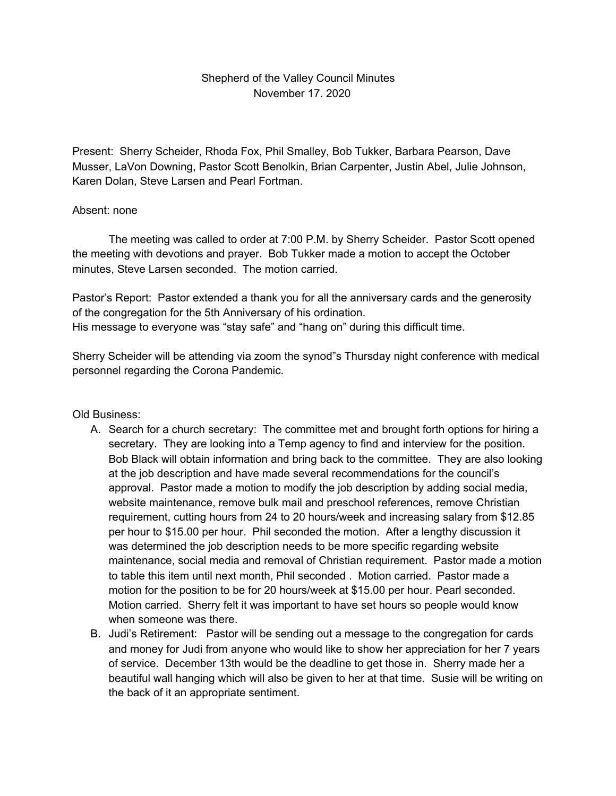## Shepherd of the Valley Council Minutes November 17. 2020

Present: Sherry Scheider, Rhoda Fox, Phil Smalley, Bob Tukker, Barbara Pearson, Dave Musser, LaVon Downing, Pastor Scott Benolkin, Brian Carpenter, Justin Abel, Julie Johnson, Karen Dolan, Steve Larsen and Pearl Fortman.

## Absent: none

The meeting was called to order at 7:00 P.M. by Sherry Scheider. Pastor Scott opened the meeting with devotions and prayer. Bob Tukker made a motion to accept the October minutes, Steve Larsen seconded. The motion carried.

Pastor's Report: Pastor extended a thank you for all the anniversary cards and the generosity of the congregation for the 5th Anniversary of his ordination. His message to everyone was "stay safe" and "hang on" during this difficult time.

Sherry Scheider will be attending via zoom the synod"s Thursday night conference with medical personnel regarding the Corona Pandemic.

## Old Business:

- A. Search for a church secretary: The committee met and brought forth options for hiring a secretary. They are looking into a Temp agency to find and interview for the position. Bob Black will obtain information and bring back to the committee. They are also looking at the job description and have made several recommendations for the council's approval. Pastor made a motion to modify the job description by adding social media, website maintenance, remove bulk mail and preschool references, remove Christian requirement, cutting hours from 24 to 20 hours/week and increasing salary from \$12.85 per hour to \$15.00 per hour. Phil seconded the motion. After a lengthy discussion it was determined the job description needs to be more specific regarding website maintenance, social media and removal of Christian requirement. Pastor made a motion to table this item until next month, Phil seconded . Motion carried. Pastor made a motion for the position to be for 20 hours/week at \$15.00 per hour. Pearl seconded. Motion carried. Sherry felt it was important to have set hours so people would know when someone was there.
- B. Judi's Retirement: Pastor will be sending out a message to the congregation for cards and money for Judi from anyone who would like to show her appreciation for her 7 years of service. December 13th would be the deadline to get those in. Sherry made her a beautiful wall hanging which will also be given to her at that time. Susie will be writing on the back of it an appropriate sentiment.